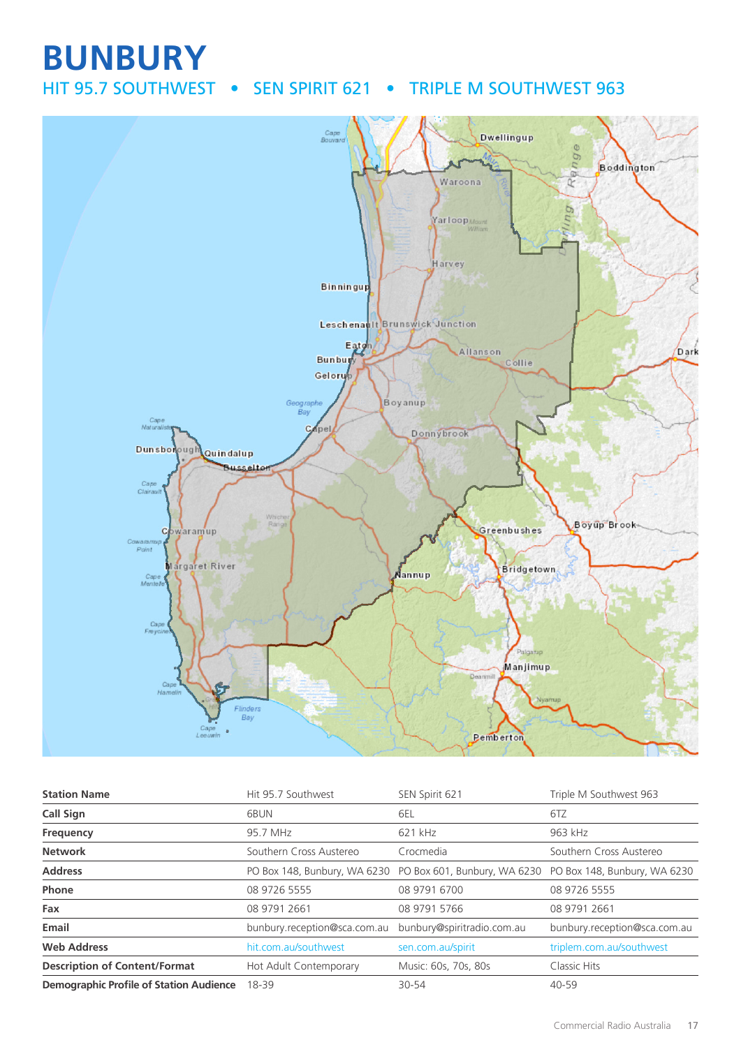# **BUNBURY** HIT 95.7 SOUTHWEST • SEN SPIRIT 621 • TRIPLE M SOUTHWEST 963



| <b>Station Name</b>                            | Hit 95.7 Southwest           | SEN Spirit 621                                                                         | Triple M Southwest 963       |
|------------------------------------------------|------------------------------|----------------------------------------------------------------------------------------|------------------------------|
| <b>Call Sign</b>                               | 6BUN                         | 6EL                                                                                    | 6TZ                          |
| Frequency                                      | 95.7 MHz                     | 621 kHz                                                                                | 963 kHz                      |
| <b>Network</b>                                 | Southern Cross Austereo      | Crocmedia                                                                              | Southern Cross Austereo      |
| <b>Address</b>                                 |                              | PO Box 148, Bunbury, WA 6230 PO Box 601, Bunbury, WA 6230 PO Box 148, Bunbury, WA 6230 |                              |
| Phone                                          | 08 9726 5555                 | 08 9791 6700                                                                           | 08 9726 5555                 |
| Fax                                            | 08 9791 2661                 | 08 9791 5766                                                                           | 08 9791 2661                 |
| Email                                          | bunbury.reception@sca.com.au | bunbury@spiritradio.com.au                                                             | bunbury.reception@sca.com.au |
| <b>Web Address</b>                             | hit.com.au/southwest         | sen.com.au/spirit                                                                      | triplem.com.au/southwest     |
| <b>Description of Content/Format</b>           | Hot Adult Contemporary       | Music: 60s, 70s, 80s                                                                   | Classic Hits                 |
| <b>Demographic Profile of Station Audience</b> | 18-39                        | 30-54                                                                                  | 40-59                        |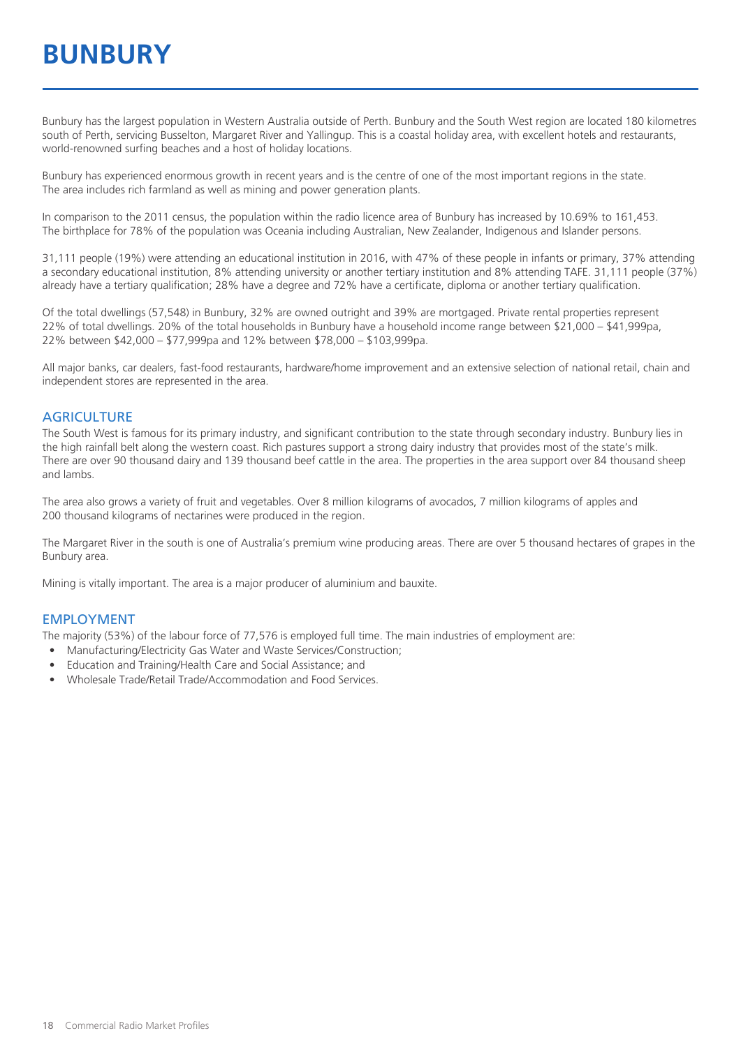# **BUNBURY**

Bunbury has the largest population in Western Australia outside of Perth. Bunbury and the South West region are located 180 kilometres south of Perth, servicing Busselton, Margaret River and Yallingup. This is a coastal holiday area, with excellent hotels and restaurants, world-renowned surfing beaches and a host of holiday locations.

Bunbury has experienced enormous growth in recent years and is the centre of one of the most important regions in the state. The area includes rich farmland as well as mining and power generation plants.

In comparison to the 2011 census, the population within the radio licence area of Bunbury has increased by 10.69% to 161,453. The birthplace for 78% of the population was Oceania including Australian, New Zealander, Indigenous and Islander persons.

31,111 people (19%) were attending an educational institution in 2016, with 47% of these people in infants or primary, 37% attending a secondary educational institution, 8% attending university or another tertiary institution and 8% attending TAFE. 31,111 people (37%) already have a tertiary qualification; 28% have a degree and 72% have a certificate, diploma or another tertiary qualification.

Of the total dwellings (57,548) in Bunbury, 32% are owned outright and 39% are mortgaged. Private rental properties represent 22% of total dwellings. 20% of the total households in Bunbury have a household income range between \$21,000 – \$41,999pa, 22% between \$42,000 – \$77,999pa and 12% between \$78,000 – \$103,999pa.

All major banks, car dealers, fast-food restaurants, hardware/home improvement and an extensive selection of national retail, chain and independent stores are represented in the area.

#### **AGRICULTURE**

The South West is famous for its primary industry, and significant contribution to the state through secondary industry. Bunbury lies in the high rainfall belt along the western coast. Rich pastures support a strong dairy industry that provides most of the state's milk. There are over 90 thousand dairy and 139 thousand beef cattle in the area. The properties in the area support over 84 thousand sheep and lambs.

The area also grows a variety of fruit and vegetables. Over 8 million kilograms of avocados, 7 million kilograms of apples and 200 thousand kilograms of nectarines were produced in the region.

The Margaret River in the south is one of Australia's premium wine producing areas. There are over 5 thousand hectares of grapes in the Bunbury area.

Mining is vitally important. The area is a major producer of aluminium and bauxite.

#### EMPLOYMENT

The majority (53%) of the labour force of 77,576 is employed full time. The main industries of employment are:

- Manufacturing/Electricity Gas Water and Waste Services/Construction;
- Education and Training/Health Care and Social Assistance; and
- Wholesale Trade/Retail Trade/Accommodation and Food Services.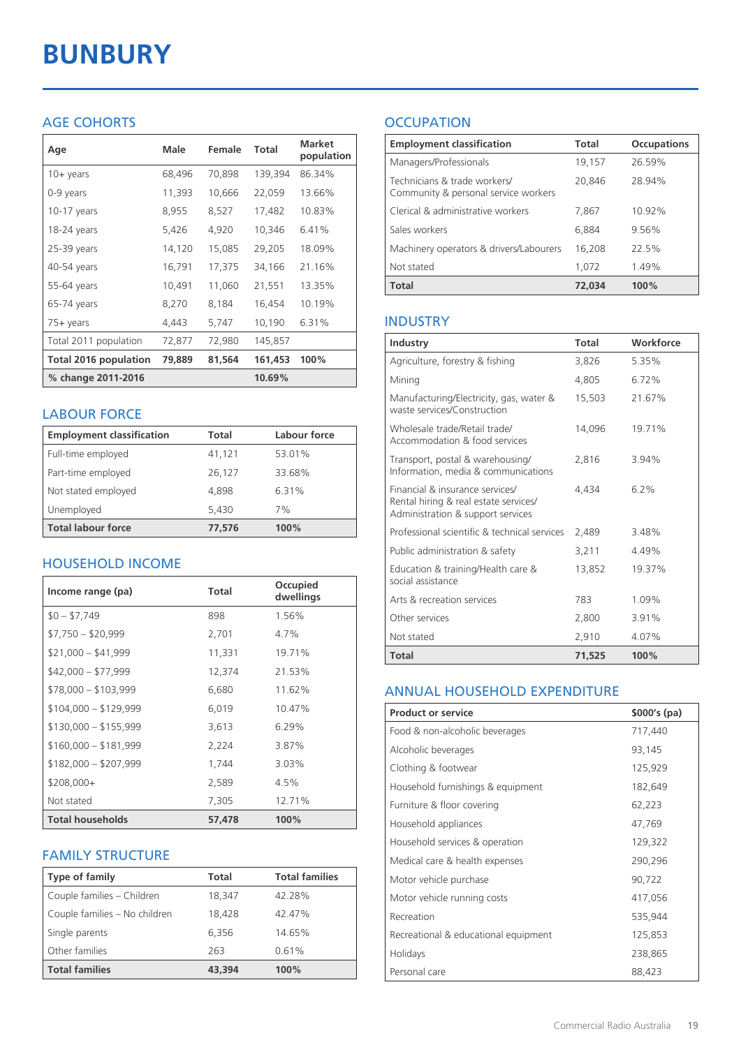# **BUNBURY**

## AGE COHORTS

| Age                          | Male   | Female | Total   | <b>Market</b><br>population |
|------------------------------|--------|--------|---------|-----------------------------|
| $10 + \gamma$ ears           | 68,496 | 70,898 | 139,394 | 86.34%                      |
| 0-9 years                    | 11,393 | 10,666 | 22,059  | 13.66%                      |
| $10-17$ years                | 8,955  | 8,527  | 17,482  | 10.83%                      |
| 18-24 years                  | 5,426  | 4,920  | 10,346  | 6.41%                       |
| 25-39 years                  | 14,120 | 15,085 | 29,205  | 18.09%                      |
| 40-54 years                  | 16,791 | 17,375 | 34,166  | 21.16%                      |
| 55-64 years                  | 10,491 | 11,060 | 21,551  | 13.35%                      |
| 65-74 years                  | 8,270  | 8,184  | 16,454  | 10.19%                      |
| $75+$ years                  | 4,443  | 5,747  | 10,190  | 6.31%                       |
| Total 2011 population        | 72,877 | 72,980 | 145,857 |                             |
| <b>Total 2016 population</b> | 79,889 | 81,564 | 161,453 | 100%                        |
| % change 2011-2016           |        |        | 10.69%  |                             |

### LABOUR FORCE

| <b>Employment classification</b> | Total  | Labour force |
|----------------------------------|--------|--------------|
| Full-time employed               | 41,121 | 53.01%       |
| Part-time employed               | 26,127 | 33.68%       |
| Not stated employed              | 4.898  | 6.31%        |
| Unemployed                       | 5,430  | 7%           |
| <b>Total labour force</b>        | 77,576 | 100%         |

## HOUSEHOLD INCOME

| Income range (pa)       | <b>Total</b> | Occupied<br>dwellings |
|-------------------------|--------------|-----------------------|
| $$0 - $7,749$           | 898          | 1.56%                 |
| $$7,750 - $20,999$      | 2,701        | 4.7%                  |
| $$21,000 - $41,999$     | 11,331       | 19.71%                |
| $$42,000 - $77,999$     | 12,374       | 21.53%                |
| $$78,000 - $103,999$    | 6,680        | 11.62%                |
| $$104,000 - $129,999$   | 6,019        | 10.47%                |
| $$130,000 - $155,999$   | 3,613        | $6.29\%$              |
| $$160,000 - $181,999$   | 2,224        | 3.87%                 |
| $$182,000 - $207,999$   | 1,744        | 3.03%                 |
| $$208,000+$             | 2,589        | 4.5%                  |
| Not stated              | 7,305        | 12.71%                |
| <b>Total households</b> | 57.478       | 100%                  |

#### FAMILY STRUCTURE

| <b>Type of family</b>         | <b>Total</b> | <b>Total families</b> |
|-------------------------------|--------------|-----------------------|
| Couple families - Children    | 18,347       | 42.28%                |
| Couple families - No children | 18,428       | 42.47%                |
| Single parents                | 6,356        | 14.65%                |
| Other families                | 263          | 0.61%                 |
| <b>Total families</b>         | 43,394       | 100%                  |

## **OCCUPATION**

| <b>Employment classification</b>                                     | Total  | <b>Occupations</b> |
|----------------------------------------------------------------------|--------|--------------------|
| Managers/Professionals                                               | 19,157 | 26.59%             |
| Technicians & trade workers/<br>Community & personal service workers | 20,846 | 28.94%             |
| Clerical & administrative workers                                    | 7,867  | 10.92%             |
| Sales workers                                                        | 6,884  | 9.56%              |
| Machinery operators & drivers/Labourers                              | 16,208 | 22.5%              |
| Not stated                                                           | 1.072  | 1.49%              |
| <b>Total</b>                                                         | 72,034 | 100%               |

### INDUSTRY

| Industry                                                                                                      | Total  | Workforce |
|---------------------------------------------------------------------------------------------------------------|--------|-----------|
| Agriculture, forestry & fishing                                                                               | 3,826  | 5.35%     |
| Mining                                                                                                        | 4.805  | 6.72%     |
| Manufacturing/Electricity, gas, water &<br>waste services/Construction                                        | 15,503 | 21.67%    |
| Wholesale trade/Retail trade/<br>Accommodation & food services                                                | 14.096 | 19.71%    |
| Transport, postal & warehousing/<br>Information, media & communications                                       | 2,816  | 3.94%     |
| Financial & insurance services/<br>Rental hiring & real estate services/<br>Administration & support services | 4.434  | 6.2%      |
| Professional scientific & technical services                                                                  | 2,489  | 3.48%     |
| Public administration & safety                                                                                | 3.211  | 4.49%     |
| Education & training/Health care &<br>social assistance                                                       | 13,852 | 19.37%    |
| Arts & recreation services                                                                                    | 783    | 1.09%     |
| Other services                                                                                                | 2,800  | 3.91%     |
| Not stated                                                                                                    | 2,910  | 4.07%     |
| Total                                                                                                         | 71,525 | 100%      |

#### ANNUAL HOUSEHOLD EXPENDITURE

| <b>Product or service</b>            | $$000's$ (pa) |
|--------------------------------------|---------------|
| Food & non-alcoholic beverages       | 717,440       |
| Alcoholic beverages                  | 93,145        |
| Clothing & footwear                  | 125,929       |
| Household furnishings & equipment    | 182,649       |
| Furniture & floor covering           | 62,223        |
| Household appliances                 | 47,769        |
| Household services & operation       | 129,322       |
| Medical care & health expenses       | 290,296       |
| Motor vehicle purchase               | 90,722        |
| Motor vehicle running costs          | 417,056       |
| Recreation                           | 535,944       |
| Recreational & educational equipment | 125,853       |
| Holidays                             | 238,865       |
| Personal care                        | 88,423        |